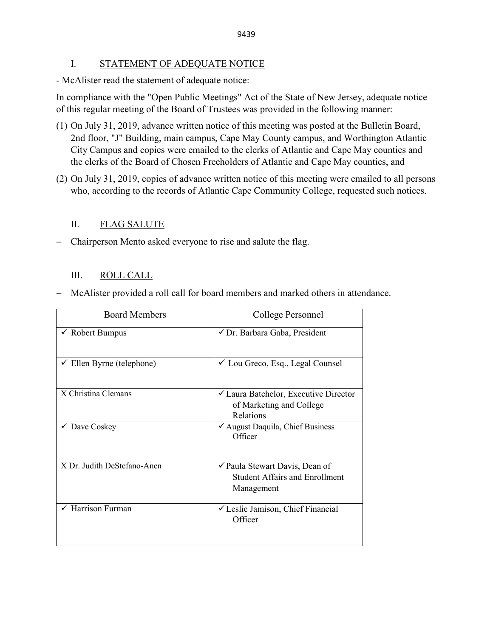## I. STATEMENT OF ADEQUATE NOTICE

- McAlister read the statement of adequate notice:

In compliance with the "Open Public Meetings" Act of the State of New Jersey, adequate notice of this regular meeting of the Board of Trustees was provided in the following manner:

- (1) On July 31, 2019, advance written notice of this meeting was posted at the Bulletin Board, 2nd floor, "J" Building, main campus, Cape May County campus, and Worthington Atlantic City Campus and copies were emailed to the clerks of Atlantic and Cape May counties and the clerks of the Board of Chosen Freeholders of Atlantic and Cape May counties, and
- (2) On July 31, 2019, copies of advance written notice of this meeting were emailed to all persons who, according to the records of Atlantic Cape Community College, requested such notices.

# II. FLAG SALUTE

− Chairperson Mento asked everyone to rise and salute the flag.

## III. ROLL CALL

− McAlister provided a roll call for board members and marked others in attendance.

| <b>Board Members</b>                 | College Personnel                                                                                     |  |
|--------------------------------------|-------------------------------------------------------------------------------------------------------|--|
| $\checkmark$ Robert Bumpus           | √ Dr. Barbara Gaba, President                                                                         |  |
| $\checkmark$ Ellen Byrne (telephone) | ✓ Lou Greco, Esq., Legal Counsel                                                                      |  |
| X Christina Clemans                  | <del></del> <del>∠</del> Laura Batchelor, Executive Director<br>of Marketing and College<br>Relations |  |
| $\checkmark$ Dave Coskey             | ✔ August Daquila, Chief Business<br>Officer                                                           |  |
| X Dr. Judith DeStefano-Anen          | ✔ Paula Stewart Davis, Dean of<br><b>Student Affairs and Enrollment</b><br>Management                 |  |
| Harrison Furman                      | √ Leslie Jamison, Chief Financial<br>Officer                                                          |  |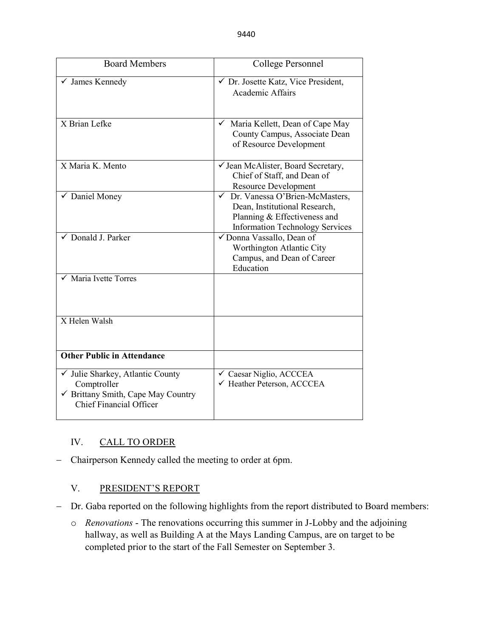| <b>Board Members</b>                                                                                                    | College Personnel                                                                                                                                         |  |  |
|-------------------------------------------------------------------------------------------------------------------------|-----------------------------------------------------------------------------------------------------------------------------------------------------------|--|--|
| √ James Kennedy                                                                                                         | √ Dr. Josette Katz, Vice President,<br><b>Academic Affairs</b>                                                                                            |  |  |
| X Brian Lefke                                                                                                           | Maria Kellett, Dean of Cape May<br>$\checkmark$<br>County Campus, Associate Dean<br>of Resource Development                                               |  |  |
| X Maria K. Mento                                                                                                        | √ Jean McAlister, Board Secretary,<br>Chief of Staff, and Dean of<br><b>Resource Development</b>                                                          |  |  |
| ✔ Daniel Money                                                                                                          | Dr. Vanessa O'Brien-McMasters,<br>$\checkmark$<br>Dean, Institutional Research,<br>Planning & Effectiveness and<br><b>Information Technology Services</b> |  |  |
| $\checkmark$ Donald J. Parker                                                                                           | √ Donna Vassallo, Dean of<br>Worthington Atlantic City<br>Campus, and Dean of Career<br>Education                                                         |  |  |
| Maria Ivette Torres                                                                                                     |                                                                                                                                                           |  |  |
| X Helen Walsh                                                                                                           |                                                                                                                                                           |  |  |
| <b>Other Public in Attendance</b>                                                                                       |                                                                                                                                                           |  |  |
| √ Julie Sharkey, Atlantic County<br>Comptroller<br>✔ Brittany Smith, Cape May Country<br><b>Chief Financial Officer</b> | ✓ Caesar Niglio, ACCCEA<br>← Heather Peterson, ACCCEA                                                                                                     |  |  |

# IV. CALL TO ORDER

− Chairperson Kennedy called the meeting to order at 6pm.

## V. PRESIDENT'S REPORT

- − Dr. Gaba reported on the following highlights from the report distributed to Board members:
	- o *Renovations* The renovations occurring this summer in J-Lobby and the adjoining hallway, as well as Building A at the Mays Landing Campus, are on target to be completed prior to the start of the Fall Semester on September 3.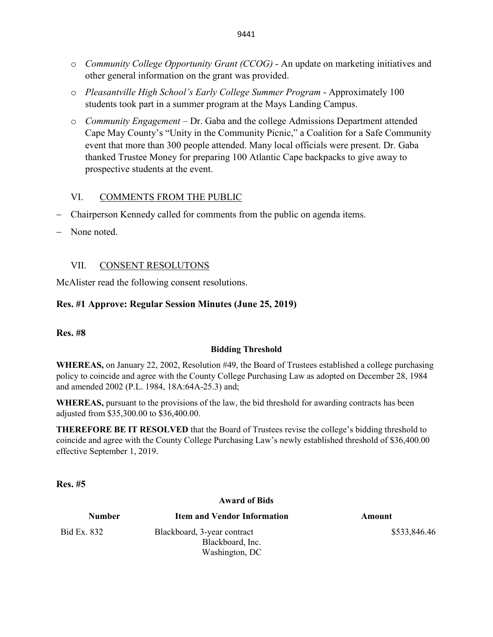- o *Community College Opportunity Grant (CCOG)* An update on marketing initiatives and other general information on the grant was provided.
- o *Pleasantville High School's Early College Summer Program* Approximately 100 students took part in a summer program at the Mays Landing Campus.
- o *Community Engagement* Dr. Gaba and the college Admissions Department attended Cape May County's "Unity in the Community Picnic," a Coalition for a Safe Community event that more than 300 people attended. Many local officials were present. Dr. Gaba thanked Trustee Money for preparing 100 Atlantic Cape backpacks to give away to prospective students at the event.

## VI. COMMENTS FROM THE PUBLIC

- Chairperson Kennedy called for comments from the public on agenda items.
- None noted.

## VII. CONSENT RESOLUTONS

McAlister read the following consent resolutions.

## **Res. #1 Approve: Regular Session Minutes (June 25, 2019)**

**Res. #8** 

### **Bidding Threshold**

**WHEREAS,** on January 22, 2002, Resolution #49, the Board of Trustees established a college purchasing policy to coincide and agree with the County College Purchasing Law as adopted on December 28, 1984 and amended 2002 (P.L. 1984, 18A:64A-25.3) and;

**WHEREAS,** pursuant to the provisions of the law, the bid threshold for awarding contracts has been adjusted from \$35,300.00 to \$36,400.00.

**THEREFORE BE IT RESOLVED** that the Board of Trustees revise the college's bidding threshold to coincide and agree with the County College Purchasing Law's newly established threshold of \$36,400.00 effective September 1, 2019.

**Res. #5** 

#### **Award of Bids**

**Number Item and Vendor Information Amount** Bid Ex. 832 Blackboard, 3-year contract Blackboard, Inc. Washington, DC \$533,846.46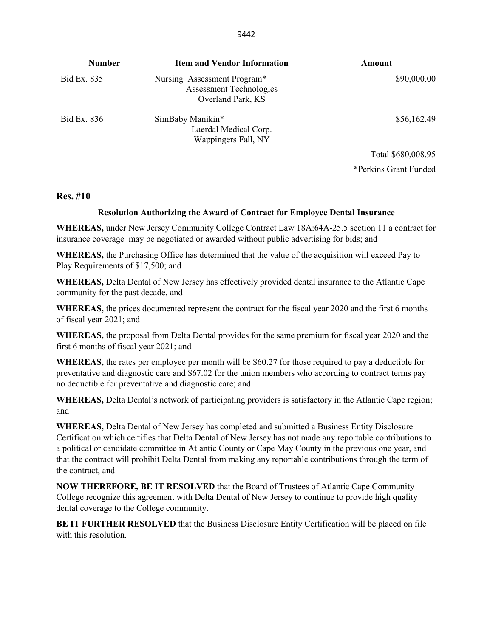| <b>Number</b> | <b>Item and Vendor Information</b>                                                 | Amount      |
|---------------|------------------------------------------------------------------------------------|-------------|
| Bid Ex. 835   | Nursing Assessment Program*<br><b>Assessment Technologies</b><br>Overland Park, KS | \$90,000.00 |
| Bid Ex. 836   | SimBaby Manikin*<br>Laerdal Medical Corp.<br>Wappingers Fall, NY                   | \$56,162.49 |

Total \$680,008.95 \*Perkins Grant Funded

#### **Res. #10**

#### **Resolution Authorizing the Award of Contract for Employee Dental Insurance**

**WHEREAS,** under New Jersey Community College Contract Law 18A:64A-25.5 section 11 a contract for insurance coverage may be negotiated or awarded without public advertising for bids; and

**WHEREAS,** the Purchasing Office has determined that the value of the acquisition will exceed Pay to Play Requirements of \$17,500; and

**WHEREAS,** Delta Dental of New Jersey has effectively provided dental insurance to the Atlantic Cape community for the past decade, and

**WHEREAS,** the prices documented represent the contract for the fiscal year 2020 and the first 6 months of fiscal year 2021; and

**WHEREAS,** the proposal from Delta Dental provides for the same premium for fiscal year 2020 and the first 6 months of fiscal year 2021; and

**WHEREAS,** the rates per employee per month will be \$60.27 for those required to pay a deductible for preventative and diagnostic care and \$67.02 for the union members who according to contract terms pay no deductible for preventative and diagnostic care; and

**WHEREAS,** Delta Dental's network of participating providers is satisfactory in the Atlantic Cape region; and

**WHEREAS,** Delta Dental of New Jersey has completed and submitted a Business Entity Disclosure Certification which certifies that Delta Dental of New Jersey has not made any reportable contributions to a political or candidate committee in Atlantic County or Cape May County in the previous one year, and that the contract will prohibit Delta Dental from making any reportable contributions through the term of the contract, and

**NOW THEREFORE, BE IT RESOLVED** that the Board of Trustees of Atlantic Cape Community College recognize this agreement with Delta Dental of New Jersey to continue to provide high quality dental coverage to the College community.

**BE IT FURTHER RESOLVED** that the Business Disclosure Entity Certification will be placed on file with this resolution.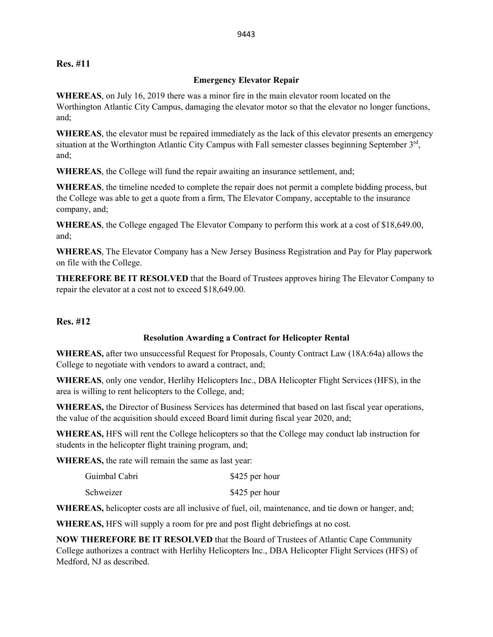#### **Res. #11**

#### **Emergency Elevator Repair**

**WHEREAS**, on July 16, 2019 there was a minor fire in the main elevator room located on the Worthington Atlantic City Campus, damaging the elevator motor so that the elevator no longer functions, and;

**WHEREAS**, the elevator must be repaired immediately as the lack of this elevator presents an emergency situation at the Worthington Atlantic City Campus with Fall semester classes beginning September 3<sup>rd</sup>, and;

**WHEREAS**, the College will fund the repair awaiting an insurance settlement, and;

**WHEREAS**, the timeline needed to complete the repair does not permit a complete bidding process, but the College was able to get a quote from a firm, The Elevator Company, acceptable to the insurance company, and;

**WHEREAS**, the College engaged The Elevator Company to perform this work at a cost of \$18,649.00, and;

**WHEREAS**, The Elevator Company has a New Jersey Business Registration and Pay for Play paperwork on file with the College.

**THEREFORE BE IT RESOLVED** that the Board of Trustees approves hiring The Elevator Company to repair the elevator at a cost not to exceed \$18,649.00.

#### **Res. #12**

#### **Resolution Awarding a Contract for Helicopter Rental**

**WHEREAS,** after two unsuccessful Request for Proposals, County Contract Law (18A:64a) allows the College to negotiate with vendors to award a contract, and;

**WHEREAS**, only one vendor, Herlihy Helicopters Inc., DBA Helicopter Flight Services (HFS), in the area is willing to rent helicopters to the College, and;

**WHEREAS,** the Director of Business Services has determined that based on last fiscal year operations, the value of the acquisition should exceed Board limit during fiscal year 2020, and;

**WHEREAS,** HFS will rent the College helicopters so that the College may conduct lab instruction for students in the helicopter flight training program, and;

**WHEREAS,** the rate will remain the same as last year:

| Guimbal Cabri | \$425 per hour |
|---------------|----------------|
| Schweizer     | \$425 per hour |

**WHEREAS,** helicopter costs are all inclusive of fuel, oil, maintenance, and tie down or hanger, and;

**WHEREAS,** HFS will supply a room for pre and post flight debriefings at no cost.

**NOW THEREFORE BE IT RESOLVED** that the Board of Trustees of Atlantic Cape Community College authorizes a contract with Herlihy Helicopters Inc., DBA Helicopter Flight Services (HFS) of Medford, NJ as described.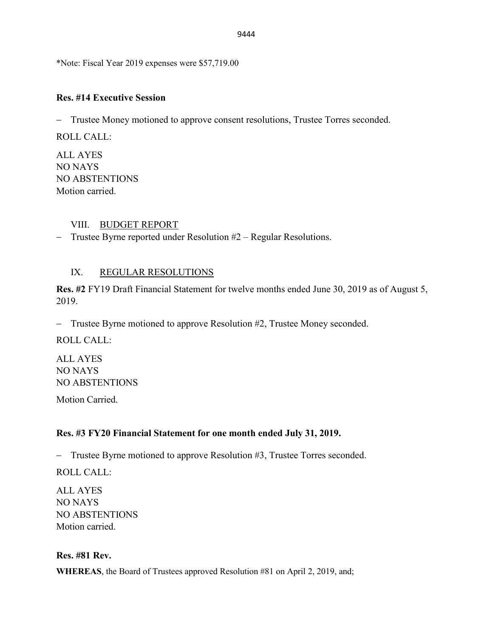\*Note: Fiscal Year 2019 expenses were \$57,719.00

## **Res. #14 Executive Session**

− Trustee Money motioned to approve consent resolutions, Trustee Torres seconded.

ROLL CALL:

ALL AYES NO NAYS NO ABSTENTIONS Motion carried.

## VIII. BUDGET REPORT

− Trustee Byrne reported under Resolution #2 – Regular Resolutions.

# IX. REGULAR RESOLUTIONS

**Res. #2** FY19 Draft Financial Statement for twelve months ended June 30, 2019 as of August 5, 2019.

− Trustee Byrne motioned to approve Resolution #2, Trustee Money seconded.

ROLL CALL:

ALL AYES NO NAYS NO ABSTENTIONS

Motion Carried.

# **Res. #3 FY20 Financial Statement for one month ended July 31, 2019.**

− Trustee Byrne motioned to approve Resolution #3, Trustee Torres seconded.

ROLL CALL:

ALL AYES NO NAYS NO ABSTENTIONS Motion carried.

### **Res. #81 Rev.**

**WHEREAS**, the Board of Trustees approved Resolution #81 on April 2, 2019, and;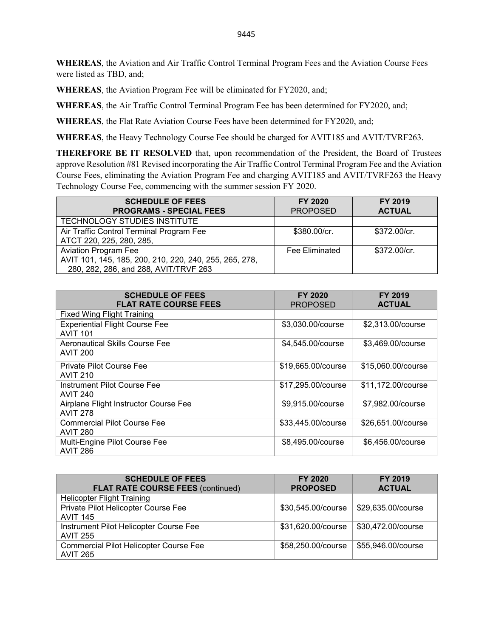**WHEREAS**, the Aviation and Air Traffic Control Terminal Program Fees and the Aviation Course Fees were listed as TBD, and;

**WHEREAS**, the Aviation Program Fee will be eliminated for FY2020, and;

**WHEREAS**, the Air Traffic Control Terminal Program Fee has been determined for FY2020, and;

**WHEREAS**, the Flat Rate Aviation Course Fees have been determined for FY2020, and;

**WHEREAS**, the Heavy Technology Course Fee should be charged for AVIT185 and AVIT/TVRF263.

**THEREFORE BE IT RESOLVED** that, upon recommendation of the President, the Board of Trustees approve Resolution #81 Revised incorporating the Air Traffic Control Terminal Program Fee and the Aviation Course Fees, eliminating the Aviation Program Fee and charging AVIT185 and AVIT/TVRF263 the Heavy Technology Course Fee, commencing with the summer session FY 2020.

| <b>SCHEDULE OF FEES</b><br><b>PROGRAMS - SPECIAL FEES</b> | FY 2020<br><b>PROPOSED</b> | FY 2019<br><b>ACTUAL</b> |
|-----------------------------------------------------------|----------------------------|--------------------------|
| TECHNOLOGY STUDIES INSTITUTE                              |                            |                          |
| Air Traffic Control Terminal Program Fee                  | \$380.00/cr.               | \$372.00/cr.             |
| ATCT 220, 225, 280, 285,                                  |                            |                          |
| <b>Aviation Program Fee</b>                               | <b>Fee Eliminated</b>      | \$372.00/cr.             |
| AVIT 101, 145, 185, 200, 210, 220, 240, 255, 265, 278,    |                            |                          |
| 280, 282, 286, and 288, AVIT/TRVF 263                     |                            |                          |

| <b>SCHEDULE OF FEES</b><br><b>FLAT RATE COURSE FEES</b>  | <b>FY 2020</b><br><b>PROPOSED</b> | <b>FY 2019</b><br><b>ACTUAL</b> |
|----------------------------------------------------------|-----------------------------------|---------------------------------|
| <b>Fixed Wing Flight Training</b>                        |                                   |                                 |
| <b>Experiential Flight Course Fee</b><br><b>AVIT 101</b> | \$3,030.00/course                 | \$2,313.00/course               |
| Aeronautical Skills Course Fee<br><b>AVIT 200</b>        | \$4,545.00/course                 | \$3,469.00/course               |
| <b>Private Pilot Course Fee</b><br><b>AVIT 210</b>       | \$19,665.00/course                | \$15,060.00/course              |
| <b>Instrument Pilot Course Fee</b><br><b>AVIT 240</b>    | \$17,295.00/course                | \$11,172.00/course              |
| Airplane Flight Instructor Course Fee<br><b>AVIT 278</b> | \$9,915.00/course                 | \$7,982.00/course               |
| <b>Commercial Pilot Course Fee</b><br><b>AVIT 280</b>    | \$33,445.00/course                | \$26,651.00/course              |
| Multi-Engine Pilot Course Fee<br><b>AVIT 286</b>         | \$8,495.00/course                 | \$6,456.00/course               |

| <b>SCHEDULE OF FEES</b><br><b>FLAT RATE COURSE FEES (continued)</b> | FY 2020<br><b>PROPOSED</b> | <b>FY 2019</b><br><b>ACTUAL</b> |
|---------------------------------------------------------------------|----------------------------|---------------------------------|
| <b>Helicopter Flight Training</b>                                   |                            |                                 |
| Private Pilot Helicopter Course Fee<br><b>AVIT 145</b>              | \$30,545.00/course         | \$29,635.00/course              |
| Instrument Pilot Helicopter Course Fee<br><b>AVIT 255</b>           | \$31,620.00/course         | \$30,472.00/course              |
| Commercial Pilot Helicopter Course Fee<br><b>AVIT 265</b>           | \$58,250.00/course         | \$55,946.00/course              |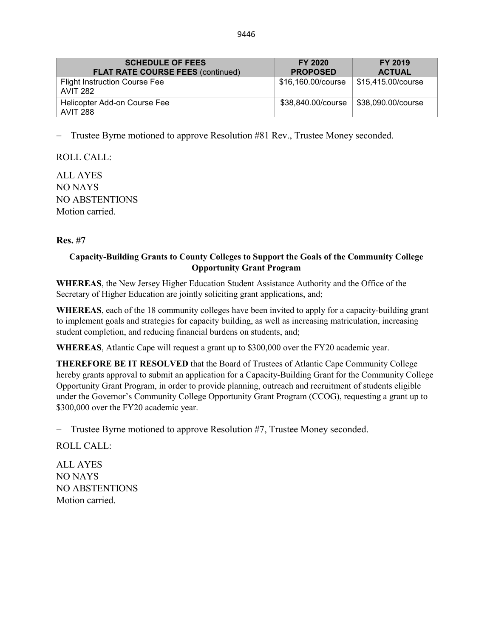| <b>SCHEDULE OF FEES</b><br><b>FLAT RATE COURSE FEES (continued)</b> | FY 2020<br><b>PROPOSED</b> | FY 2019<br><b>ACTUAL</b> |
|---------------------------------------------------------------------|----------------------------|--------------------------|
| <b>Flight Instruction Course Fee</b><br><b>AVIT 282</b>             | \$16,160.00/course         | \$15,415.00/course       |
| Helicopter Add-on Course Fee<br>AVIT 288                            | \$38,840.00/course         | \$38,090.00/course       |

− Trustee Byrne motioned to approve Resolution #81 Rev., Trustee Money seconded.

ROLL CALL:

ALL AYES NO NAYS NO ABSTENTIONS Motion carried.

## **Res. #7**

## **Capacity-Building Grants to County Colleges to Support the Goals of the Community College Opportunity Grant Program**

**WHEREAS**, the New Jersey Higher Education Student Assistance Authority and the Office of the Secretary of Higher Education are jointly soliciting grant applications, and;

**WHEREAS**, each of the 18 community colleges have been invited to apply for a capacity-building grant to implement goals and strategies for capacity building, as well as increasing matriculation, increasing student completion, and reducing financial burdens on students, and;

**WHEREAS**, Atlantic Cape will request a grant up to \$300,000 over the FY20 academic year.

**THEREFORE BE IT RESOLVED** that the Board of Trustees of Atlantic Cape Community College hereby grants approval to submit an application for a Capacity-Building Grant for the Community College Opportunity Grant Program, in order to provide planning, outreach and recruitment of students eligible under the Governor's Community College Opportunity Grant Program (CCOG), requesting a grant up to \$300,000 over the FY20 academic year.

− Trustee Byrne motioned to approve Resolution #7, Trustee Money seconded.

ROLL CALL:

ALL AYES NO NAYS NO ABSTENTIONS Motion carried.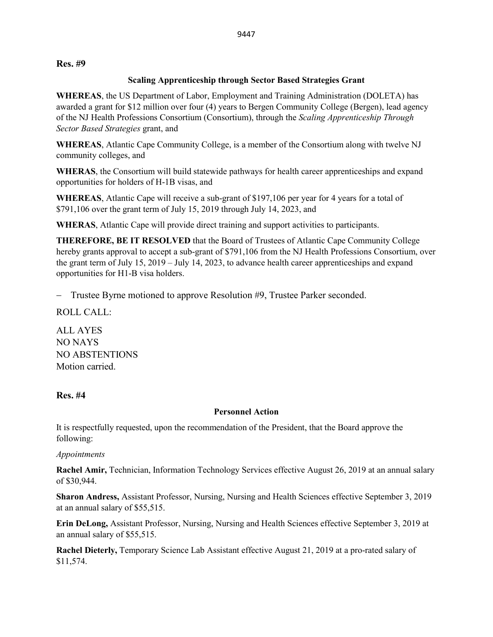### **Res. #9**

## **Scaling Apprenticeship through Sector Based Strategies Grant**

**WHEREAS**, the US Department of Labor, Employment and Training Administration (DOLETA) has awarded a grant for \$12 million over four (4) years to Bergen Community College (Bergen), lead agency of the NJ Health Professions Consortium (Consortium), through the *Scaling Apprenticeship Through Sector Based Strategies* grant, and

**WHEREAS**, Atlantic Cape Community College, is a member of the Consortium along with twelve NJ community colleges, and

**WHERAS**, the Consortium will build statewide pathways for health career apprenticeships and expand opportunities for holders of H-1B visas, and

**WHEREAS**, Atlantic Cape will receive a sub-grant of \$197,106 per year for 4 years for a total of \$791,106 over the grant term of July 15, 2019 through July 14, 2023, and

**WHERAS**, Atlantic Cape will provide direct training and support activities to participants.

**THEREFORE, BE IT RESOLVED** that the Board of Trustees of Atlantic Cape Community College hereby grants approval to accept a sub-grant of \$791,106 from the NJ Health Professions Consortium, over the grant term of July 15, 2019 – July 14, 2023, to advance health career apprenticeships and expand opportunities for H1-B visa holders.

− Trustee Byrne motioned to approve Resolution #9, Trustee Parker seconded.

ROLL CALL:

ALL AYES NO NAYS NO ABSTENTIONS Motion carried.

# **Res. #4**

### **Personnel Action**

It is respectfully requested, upon the recommendation of the President, that the Board approve the following:

### *Appointments*

**Rachel Amir,** Technician, Information Technology Services effective August 26, 2019 at an annual salary of \$30,944.

**Sharon Andress,** Assistant Professor, Nursing, Nursing and Health Sciences effective September 3, 2019 at an annual salary of \$55,515.

**Erin DeLong,** Assistant Professor, Nursing, Nursing and Health Sciences effective September 3, 2019 at an annual salary of \$55,515.

**Rachel Dieterly,** Temporary Science Lab Assistant effective August 21, 2019 at a pro-rated salary of \$11,574.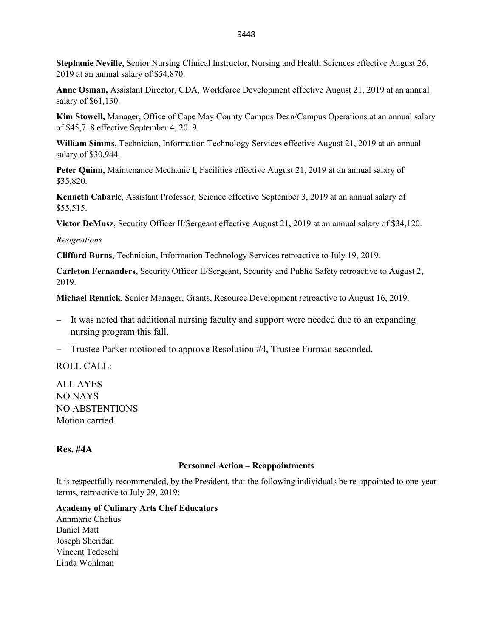**Stephanie Neville,** Senior Nursing Clinical Instructor, Nursing and Health Sciences effective August 26, 2019 at an annual salary of \$54,870.

**Anne Osman,** Assistant Director, CDA, Workforce Development effective August 21, 2019 at an annual salary of \$61,130.

**Kim Stowell,** Manager, Office of Cape May County Campus Dean/Campus Operations at an annual salary of \$45,718 effective September 4, 2019.

**William Simms,** Technician, Information Technology Services effective August 21, 2019 at an annual salary of \$30,944.

**Peter Quinn,** Maintenance Mechanic I, Facilities effective August 21, 2019 at an annual salary of \$35,820.

**Kenneth Cabarle**, Assistant Professor, Science effective September 3, 2019 at an annual salary of \$55,515.

**Victor DeMusz**, Security Officer II/Sergeant effective August 21, 2019 at an annual salary of \$34,120.

*Resignations* 

**Clifford Burns**, Technician, Information Technology Services retroactive to July 19, 2019.

**Carleton Fernanders**, Security Officer II/Sergeant, Security and Public Safety retroactive to August 2, 2019.

**Michael Rennick**, Senior Manager, Grants, Resource Development retroactive to August 16, 2019.

- − It was noted that additional nursing faculty and support were needed due to an expanding nursing program this fall.
- − Trustee Parker motioned to approve Resolution #4, Trustee Furman seconded.

ROLL CALL:

ALL AYES NO NAYS NO ABSTENTIONS Motion carried.

#### **Res. #4A**

#### **Personnel Action – Reappointments**

It is respectfully recommended, by the President, that the following individuals be re-appointed to one-year terms, retroactive to July 29, 2019:

#### **Academy of Culinary Arts Chef Educators**

Annmarie Chelius Daniel Matt Joseph Sheridan Vincent Tedeschi Linda Wohlman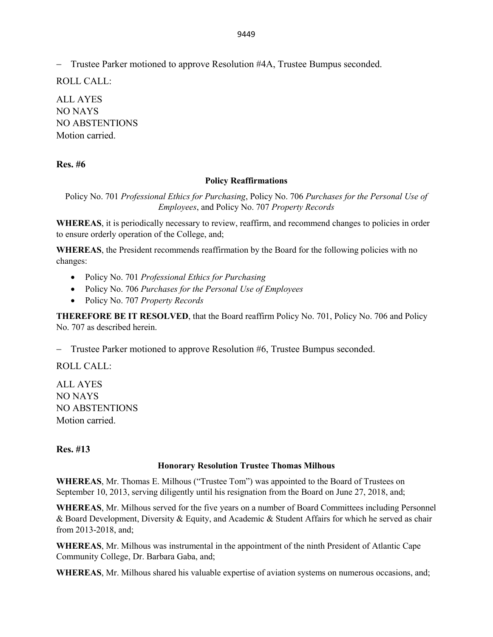− Trustee Parker motioned to approve Resolution #4A, Trustee Bumpus seconded.

ROLL CALL:

ALL AYES NO NAYS NO ABSTENTIONS Motion carried.

## **Res. #6**

#### **Policy Reaffirmations**

Policy No. 701 *Professional Ethics for Purchasing*, Policy No. 706 *Purchases for the Personal Use of Employees*, and Policy No. 707 *Property Records*

**WHEREAS**, it is periodically necessary to review, reaffirm, and recommend changes to policies in order to ensure orderly operation of the College, and;

**WHEREAS**, the President recommends reaffirmation by the Board for the following policies with no changes:

- Policy No. 701 *Professional Ethics for Purchasing*
- Policy No. 706 *Purchases for the Personal Use of Employees*
- Policy No. 707 *Property Records*

**THEREFORE BE IT RESOLVED**, that the Board reaffirm Policy No. 701, Policy No. 706 and Policy No. 707 as described herein.

− Trustee Parker motioned to approve Resolution #6, Trustee Bumpus seconded.

ROLL CALL:

ALL AYES NO NAYS NO ABSTENTIONS Motion carried.

**Res. #13**

#### **Honorary Resolution Trustee Thomas Milhous**

**WHEREAS**, Mr. Thomas E. Milhous ("Trustee Tom") was appointed to the Board of Trustees on September 10, 2013, serving diligently until his resignation from the Board on June 27, 2018, and;

**WHEREAS**, Mr. Milhous served for the five years on a number of Board Committees including Personnel & Board Development, Diversity & Equity, and Academic & Student Affairs for which he served as chair from 2013-2018, and;

**WHEREAS**, Mr. Milhous was instrumental in the appointment of the ninth President of Atlantic Cape Community College, Dr. Barbara Gaba, and;

**WHEREAS**, Mr. Milhous shared his valuable expertise of aviation systems on numerous occasions, and;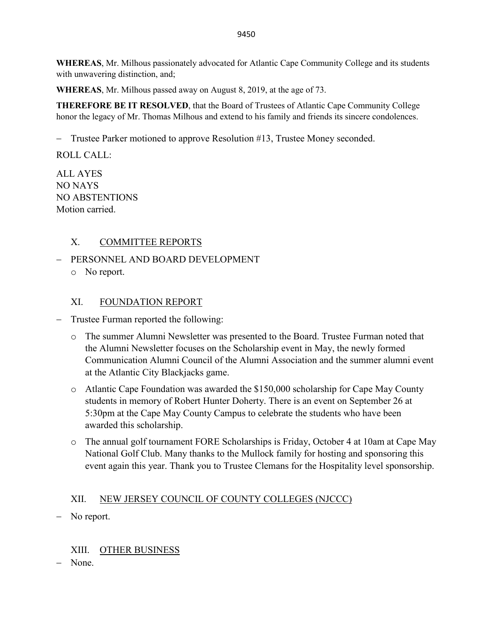**WHEREAS**, Mr. Milhous passionately advocated for Atlantic Cape Community College and its students with unwavering distinction, and;

**WHEREAS**, Mr. Milhous passed away on August 8, 2019, at the age of 73.

**THEREFORE BE IT RESOLVED**, that the Board of Trustees of Atlantic Cape Community College honor the legacy of Mr. Thomas Milhous and extend to his family and friends its sincere condolences.

− Trustee Parker motioned to approve Resolution #13, Trustee Money seconded.

ROLL CALL:

ALL AYES NO NAYS NO ABSTENTIONS Motion carried.

## X. COMMITTEE REPORTS

− PERSONNEL AND BOARD DEVELOPMENT o No report.

## XI. FOUNDATION REPORT

- − Trustee Furman reported the following:
	- o The summer Alumni Newsletter was presented to the Board. Trustee Furman noted that the Alumni Newsletter focuses on the Scholarship event in May, the newly formed Communication Alumni Council of the Alumni Association and the summer alumni event at the Atlantic City Blackjacks game.
	- o Atlantic Cape Foundation was awarded the \$150,000 scholarship for Cape May County students in memory of Robert Hunter Doherty. There is an event on September 26 at 5:30pm at the Cape May County Campus to celebrate the students who have been awarded this scholarship.
	- o The annual golf tournament FORE Scholarships is Friday, October 4 at 10am at Cape May National Golf Club. Many thanks to the Mullock family for hosting and sponsoring this event again this year. Thank you to Trustee Clemans for the Hospitality level sponsorship.

# XII. NEW JERSEY COUNCIL OF COUNTY COLLEGES (NJCCC)

No report.

# XIII. OTHER BUSINESS

None.